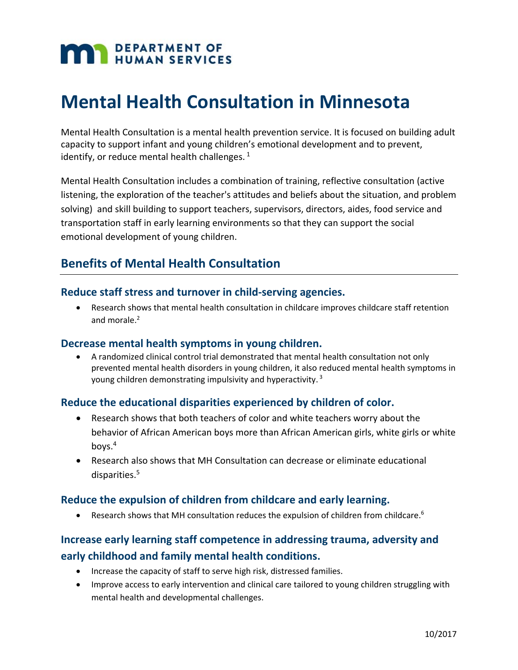# **DEPARTMENT OF HUMAN SERVICES**

# **Mental Health Consultation in Minnesota**

Mental Health Consultation is a mental health prevention service. It is focused on building adult capacity to support infant and young children's emotional development and to prevent, identify, or reduce mental health challenges.  $1$ 

Mental Health Consultation includes a combination of training, reflective consultation (active listening, the exploration of the teacher's attitudes and beliefs about the situation, and problem solving) and skill building to support teachers, supervisors, directors, aides, food service and transportation staff in early learning environments so that they can support the social emotional development of young children.

# **Benefits of Mental Health Consultation**

#### **Reduce staff stress and turnover in child‐serving agencies.**

 Research shows that mental health consultation in childcare improves childcare staff retention and morale.<sup>2</sup>

#### **Decrease mental health symptoms in young children.**

 A randomized clinical control trial demonstrated that mental health consultation not only prevented mental health disorders in young children, it also reduced mental health symptoms in young children demonstrating impulsivity and hyperactivity.<sup>3</sup>

#### **Reduce the educational disparities experienced by children of color.**

- Research shows that both teachers of color and white teachers worry about the behavior of African American boys more than African American girls, white girls or white boys.4
- Research also shows that MH Consultation can decrease or eliminate educational disparities.5

#### **Reduce the expulsion of children from childcare and early learning.**

Research shows that MH consultation reduces the expulsion of children from childcare.<sup>6</sup>

### **Increase early learning staff competence in addressing trauma, adversity and early childhood and family mental health conditions.**

- Increase the capacity of staff to serve high risk, distressed families.
- Improve access to early intervention and clinical care tailored to young children struggling with mental health and developmental challenges.